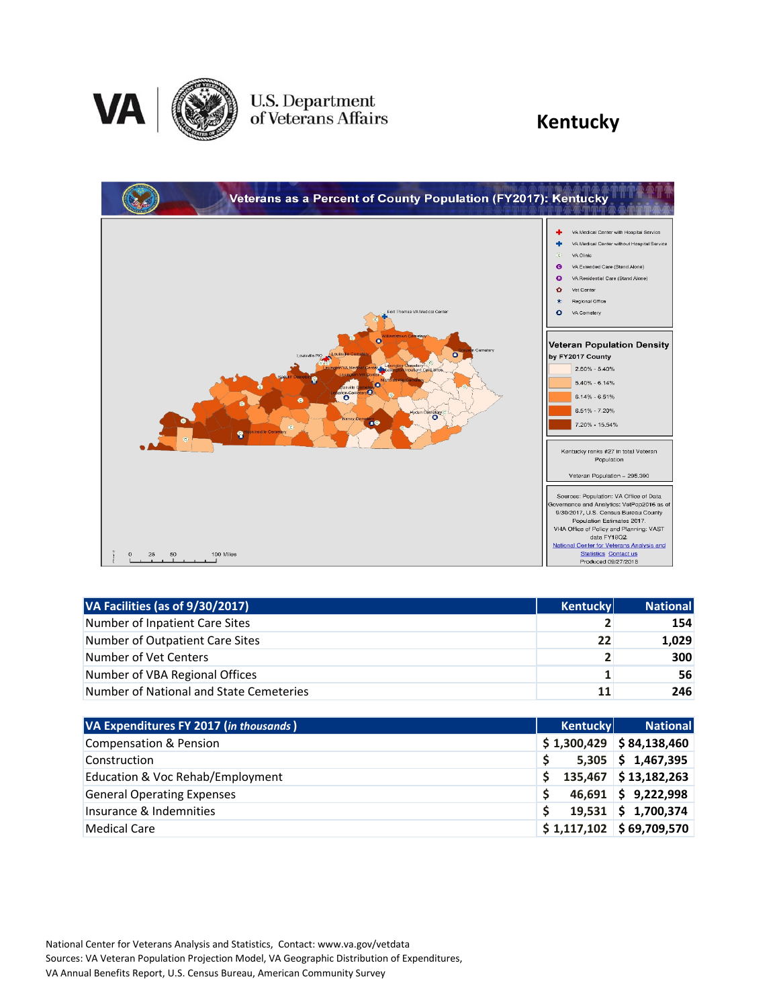

## U.S. Department<br>of Veterans Affairs

### **Kentucky**



| VA Facilities (as of 9/30/2017)         | <b>Kentucky</b> | <b>National</b> |
|-----------------------------------------|-----------------|-----------------|
| Number of Inpatient Care Sites          |                 | 154             |
| Number of Outpatient Care Sites         | 22              | 1,029           |
| Number of Vet Centers                   |                 | 300             |
| Number of VBA Regional Offices          | 1               | 56              |
| Number of National and State Cemeteries | 11              | 246             |

| VA Expenditures FY 2017 (in thousands) | <b>Kentucky</b> | <b>National</b>                 |
|----------------------------------------|-----------------|---------------------------------|
| <b>Compensation &amp; Pension</b>      |                 | $$1,300,429$ $$84,138,460$      |
| Construction                           |                 | $5,305$ \$ 1,467,395            |
| Education & Voc Rehab/Employment       |                 | 135,467 \$13,182,263            |
| <b>General Operating Expenses</b>      |                 | $46,691$ \$ 9,222,998           |
| Insurance & Indemnities                |                 | $19,531 \mid 5 \quad 1,700,374$ |
| <b>Medical Care</b>                    |                 | $$1,117,102$ $$69,709,570$      |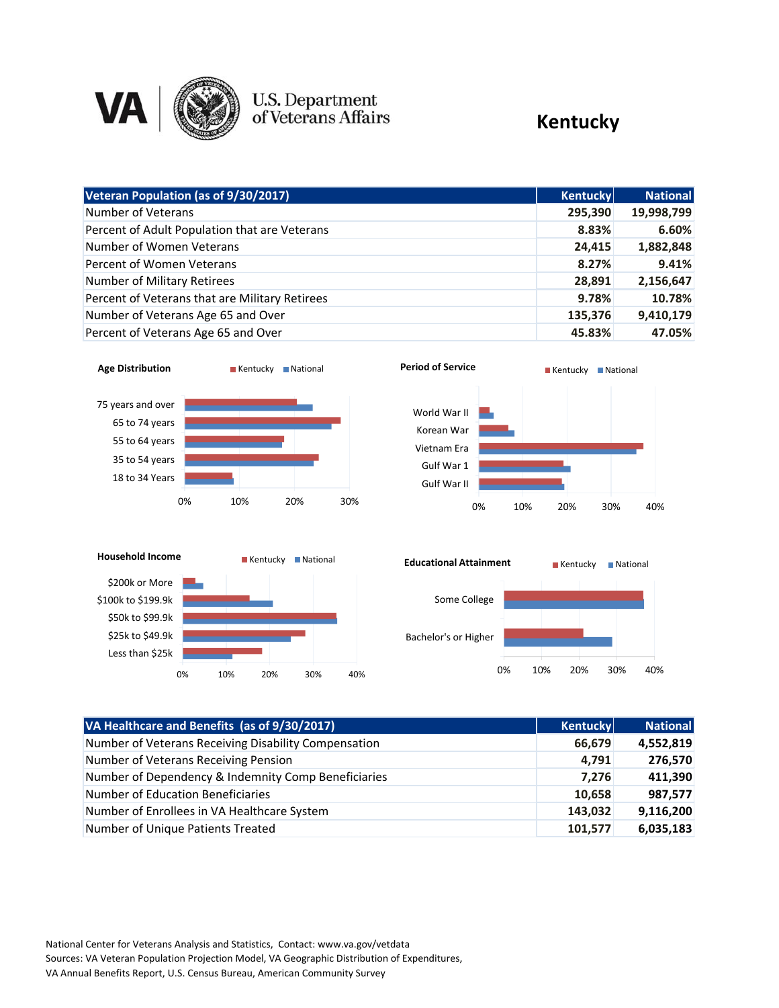

# U.S. Department<br>of Veterans Affairs

#### **Kentucky**

| Veteran Population (as of 9/30/2017)           | <b>Kentucky</b> | <b>National</b> |
|------------------------------------------------|-----------------|-----------------|
| Number of Veterans                             | 295,390         | 19,998,799      |
| Percent of Adult Population that are Veterans  | 8.83%           | 6.60%           |
| Number of Women Veterans                       | 24,415          | 1,882,848       |
| Percent of Women Veterans                      | 8.27%           | 9.41%           |
| Number of Military Retirees                    | 28,891          | 2,156,647       |
| Percent of Veterans that are Military Retirees | 9.78%           | 10.78%          |
| Number of Veterans Age 65 and Over             | 135,376         | 9,410,179       |
| Percent of Veterans Age 65 and Over            | 45.83%          | 47.05%          |









| VA Healthcare and Benefits (as of 9/30/2017)         | <b>Kentucky</b> | <b>National</b> |
|------------------------------------------------------|-----------------|-----------------|
| Number of Veterans Receiving Disability Compensation | 66,679          | 4,552,819       |
| Number of Veterans Receiving Pension                 | 4,791           | 276,570         |
| Number of Dependency & Indemnity Comp Beneficiaries  | 7,276           | 411,390         |
| Number of Education Beneficiaries                    | 10,658          | 987,577         |
| Number of Enrollees in VA Healthcare System          | 143,032         | 9,116,200       |
| Number of Unique Patients Treated                    | 101,577         | 6,035,183       |

National Center for Veterans Analysis and Statistics, Contact: www.va.gov/vetdata Sources: VA Veteran Population Projection Model, VA Geographic Distribution of Expenditures, VA Annual Benefits Report, U.S. Census Bureau, American Community Survey